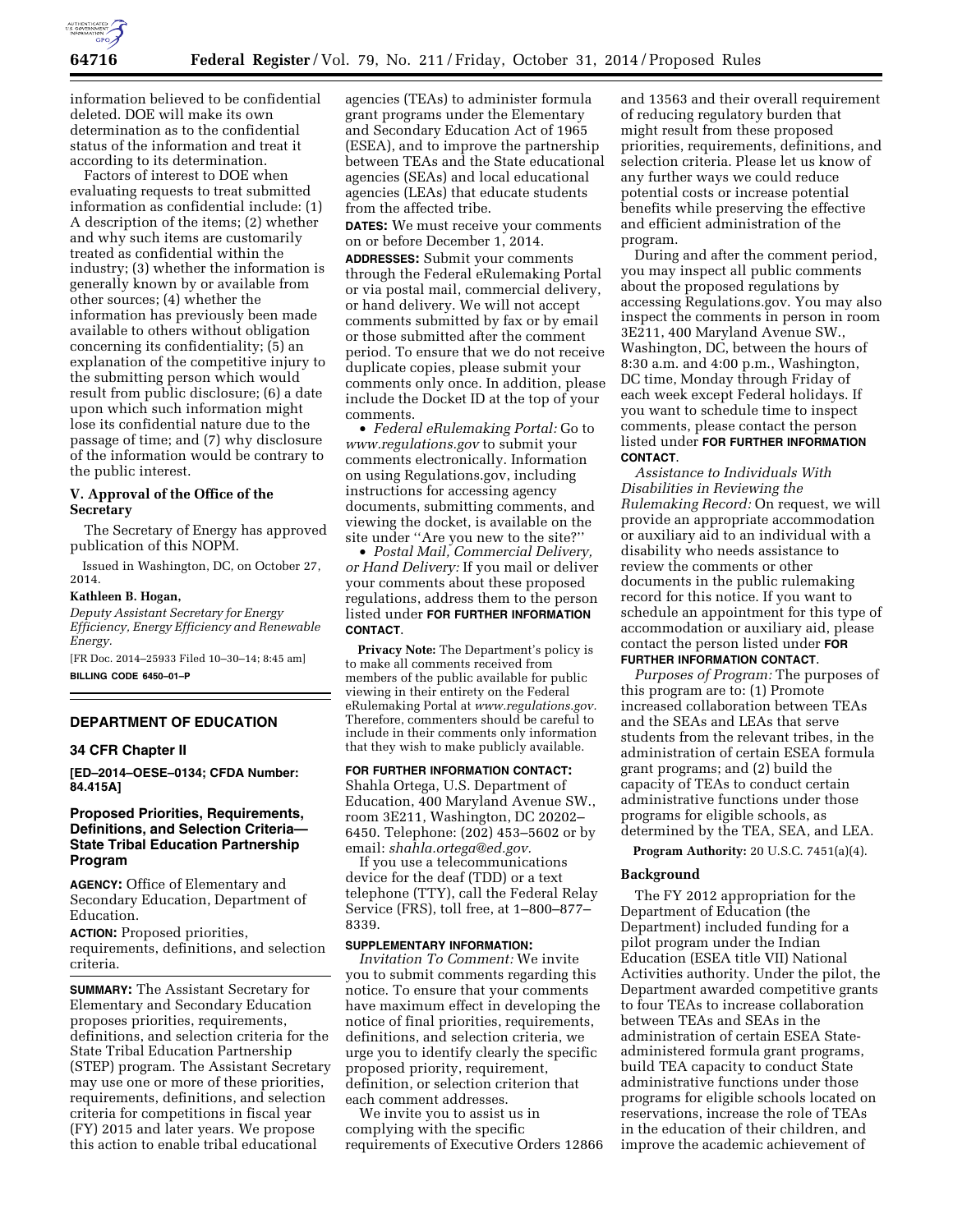

information believed to be confidential deleted. DOE will make its own determination as to the confidential status of the information and treat it according to its determination.

Factors of interest to DOE when evaluating requests to treat submitted information as confidential include: (1) A description of the items; (2) whether and why such items are customarily treated as confidential within the industry; (3) whether the information is generally known by or available from other sources; (4) whether the information has previously been made available to others without obligation concerning its confidentiality; (5) an explanation of the competitive injury to the submitting person which would result from public disclosure; (6) a date upon which such information might lose its confidential nature due to the passage of time; and (7) why disclosure of the information would be contrary to the public interest.

# **V. Approval of the Office of the Secretary**

The Secretary of Energy has approved publication of this NOPM.

Issued in Washington, DC, on October 27, 2014.

# **Kathleen B. Hogan,**

*Deputy Assistant Secretary for Energy Efficiency, Energy Efficiency and Renewable Energy.* 

[FR Doc. 2014–25933 Filed 10–30–14; 8:45 am] **BILLING CODE 6450–01–P** 

### **DEPARTMENT OF EDUCATION**

# **34 CFR Chapter II**

**[ED–2014–OESE–0134; CFDA Number: 84.415A]** 

# **Proposed Priorities, Requirements, Definitions, and Selection Criteria— State Tribal Education Partnership Program**

**AGENCY:** Office of Elementary and Secondary Education, Department of Education.

**ACTION:** Proposed priorities, requirements, definitions, and selection criteria.

**SUMMARY:** The Assistant Secretary for Elementary and Secondary Education proposes priorities, requirements, definitions, and selection criteria for the State Tribal Education Partnership (STEP) program. The Assistant Secretary may use one or more of these priorities, requirements, definitions, and selection criteria for competitions in fiscal year (FY) 2015 and later years. We propose this action to enable tribal educational

agencies (TEAs) to administer formula grant programs under the Elementary and Secondary Education Act of 1965 (ESEA), and to improve the partnership between TEAs and the State educational agencies (SEAs) and local educational agencies (LEAs) that educate students from the affected tribe.

**DATES:** We must receive your comments on or before December 1, 2014.

**ADDRESSES:** Submit your comments through the Federal eRulemaking Portal or via postal mail, commercial delivery, or hand delivery. We will not accept comments submitted by fax or by email or those submitted after the comment period. To ensure that we do not receive duplicate copies, please submit your comments only once. In addition, please include the Docket ID at the top of your comments.

• *Federal eRulemaking Portal:* Go to *[www.regulations.gov](http://www.regulations.gov)* to submit your comments electronically. Information on using Regulations.gov, including instructions for accessing agency documents, submitting comments, and viewing the docket, is available on the site under ''Are you new to the site?''

• *Postal Mail, Commercial Delivery, or Hand Delivery:* If you mail or deliver your comments about these proposed regulations, address them to the person listed under **FOR FURTHER INFORMATION CONTACT**.

**Privacy Note:** The Department's policy is to make all comments received from members of the public available for public viewing in their entirety on the Federal eRulemaking Portal at *[www.regulations.gov.](http://www.regulations.gov)*  Therefore, commenters should be careful to include in their comments only information that they wish to make publicly available.

#### **FOR FURTHER INFORMATION CONTACT:**

Shahla Ortega, U.S. Department of Education, 400 Maryland Avenue SW., room 3E211, Washington, DC 20202– 6450. Telephone: (202) 453–5602 or by email: *[shahla.ortega@ed.gov.](mailto:shahla.ortega@ed.gov)* 

If you use a telecommunications device for the deaf (TDD) or a text telephone (TTY), call the Federal Relay Service (FRS), toll free, at 1–800–877– 8339.

### **SUPPLEMENTARY INFORMATION:**

*Invitation To Comment:* We invite you to submit comments regarding this notice. To ensure that your comments have maximum effect in developing the notice of final priorities, requirements, definitions, and selection criteria, we urge you to identify clearly the specific proposed priority, requirement, definition, or selection criterion that each comment addresses.

We invite you to assist us in complying with the specific requirements of Executive Orders 12866

and 13563 and their overall requirement of reducing regulatory burden that might result from these proposed priorities, requirements, definitions, and selection criteria. Please let us know of any further ways we could reduce potential costs or increase potential benefits while preserving the effective and efficient administration of the program.

During and after the comment period, you may inspect all public comments about the proposed regulations by accessing Regulations.gov. You may also inspect the comments in person in room 3E211, 400 Maryland Avenue SW., Washington, DC, between the hours of 8:30 a.m. and 4:00 p.m., Washington, DC time, Monday through Friday of each week except Federal holidays. If you want to schedule time to inspect comments, please contact the person listed under **FOR FURTHER INFORMATION CONTACT**.

*Assistance to Individuals With Disabilities in Reviewing the Rulemaking Record:* On request, we will provide an appropriate accommodation or auxiliary aid to an individual with a disability who needs assistance to review the comments or other documents in the public rulemaking record for this notice. If you want to schedule an appointment for this type of accommodation or auxiliary aid, please contact the person listed under **FOR**

**FURTHER INFORMATION CONTACT**.

*Purposes of Program:* The purposes of this program are to: (1) Promote increased collaboration between TEAs and the SEAs and LEAs that serve students from the relevant tribes, in the administration of certain ESEA formula grant programs; and (2) build the capacity of TEAs to conduct certain administrative functions under those programs for eligible schools, as determined by the TEA, SEA, and LEA.

**Program Authority:** 20 U.S.C. 7451(a)(4).

#### **Background**

The FY 2012 appropriation for the Department of Education (the Department) included funding for a pilot program under the Indian Education (ESEA title VII) National Activities authority. Under the pilot, the Department awarded competitive grants to four TEAs to increase collaboration between TEAs and SEAs in the administration of certain ESEA Stateadministered formula grant programs, build TEA capacity to conduct State administrative functions under those programs for eligible schools located on reservations, increase the role of TEAs in the education of their children, and improve the academic achievement of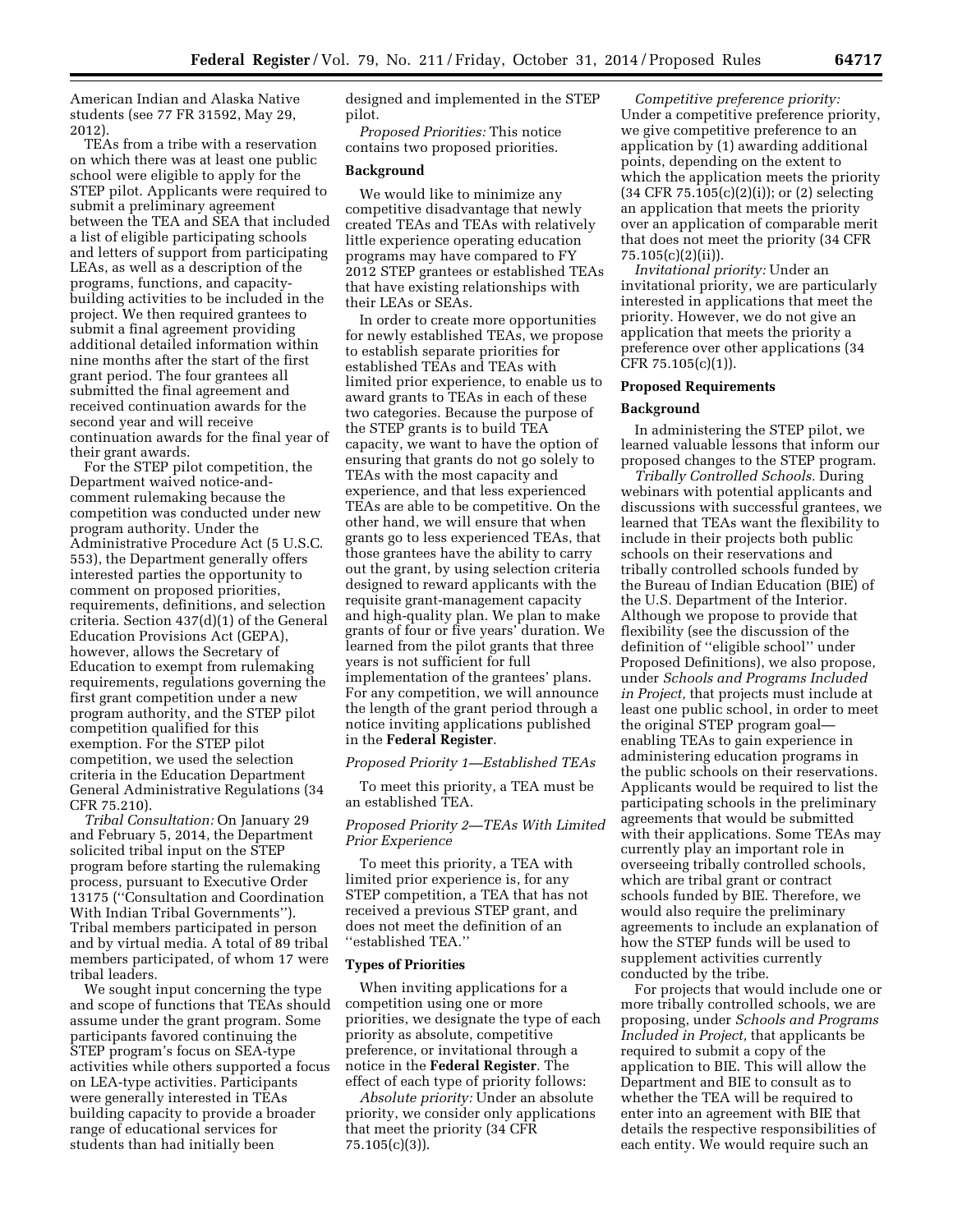American Indian and Alaska Native students (see 77 FR 31592, May 29, 2012).

TEAs from a tribe with a reservation on which there was at least one public school were eligible to apply for the STEP pilot. Applicants were required to submit a preliminary agreement between the TEA and SEA that included a list of eligible participating schools and letters of support from participating LEAs, as well as a description of the programs, functions, and capacitybuilding activities to be included in the project. We then required grantees to submit a final agreement providing additional detailed information within nine months after the start of the first grant period. The four grantees all submitted the final agreement and received continuation awards for the second year and will receive continuation awards for the final year of their grant awards.

For the STEP pilot competition, the Department waived notice-andcomment rulemaking because the competition was conducted under new program authority. Under the Administrative Procedure Act (5 U.S.C. 553), the Department generally offers interested parties the opportunity to comment on proposed priorities, requirements, definitions, and selection criteria. Section 437(d)(1) of the General Education Provisions Act (GEPA), however, allows the Secretary of Education to exempt from rulemaking requirements, regulations governing the first grant competition under a new program authority, and the STEP pilot competition qualified for this exemption. For the STEP pilot competition, we used the selection criteria in the Education Department General Administrative Regulations (34 CFR 75.210).

*Tribal Consultation:* On January 29 and February 5, 2014, the Department solicited tribal input on the STEP program before starting the rulemaking process, pursuant to Executive Order 13175 (''Consultation and Coordination With Indian Tribal Governments''). Tribal members participated in person and by virtual media. A total of 89 tribal members participated, of whom 17 were tribal leaders.

We sought input concerning the type and scope of functions that TEAs should assume under the grant program. Some participants favored continuing the STEP program's focus on SEA-type activities while others supported a focus on LEA-type activities. Participants were generally interested in TEAs building capacity to provide a broader range of educational services for students than had initially been

designed and implemented in the STEP pilot.

*Proposed Priorities:* This notice contains two proposed priorities.

### **Background**

We would like to minimize any competitive disadvantage that newly created TEAs and TEAs with relatively little experience operating education programs may have compared to FY 2012 STEP grantees or established TEAs that have existing relationships with their LEAs or SEAs.

In order to create more opportunities for newly established TEAs, we propose to establish separate priorities for established TEAs and TEAs with limited prior experience, to enable us to award grants to TEAs in each of these two categories. Because the purpose of the STEP grants is to build TEA capacity, we want to have the option of ensuring that grants do not go solely to TEAs with the most capacity and experience, and that less experienced TEAs are able to be competitive. On the other hand, we will ensure that when grants go to less experienced TEAs, that those grantees have the ability to carry out the grant, by using selection criteria designed to reward applicants with the requisite grant-management capacity and high-quality plan. We plan to make grants of four or five years' duration. We learned from the pilot grants that three years is not sufficient for full implementation of the grantees' plans. For any competition, we will announce the length of the grant period through a notice inviting applications published in the **Federal Register**.

#### *Proposed Priority 1—Established TEAs*

To meet this priority, a TEA must be an established TEA.

# *Proposed Priority 2—TEAs With Limited Prior Experience*

To meet this priority, a TEA with limited prior experience is, for any STEP competition, a TEA that has not received a previous STEP grant, and does not meet the definition of an ''established TEA.''

#### **Types of Priorities**

When inviting applications for a competition using one or more priorities, we designate the type of each priority as absolute, competitive preference, or invitational through a notice in the **Federal Register**. The effect of each type of priority follows:

*Absolute priority:* Under an absolute priority, we consider only applications that meet the priority (34 CFR 75.105(c)(3)).

*Competitive preference priority:*  Under a competitive preference priority, we give competitive preference to an application by (1) awarding additional points, depending on the extent to which the application meets the priority (34 CFR 75.105(c)(2)(i)); or (2) selecting an application that meets the priority over an application of comparable merit that does not meet the priority (34 CFR 75.105(c)(2)(ii)).

*Invitational priority:* Under an invitational priority, we are particularly interested in applications that meet the priority. However, we do not give an application that meets the priority a preference over other applications (34 CFR 75.105(c)(1)).

### **Proposed Requirements**

### **Background**

In administering the STEP pilot, we learned valuable lessons that inform our proposed changes to the STEP program.

*Tribally Controlled Schools.* During webinars with potential applicants and discussions with successful grantees, we learned that TEAs want the flexibility to include in their projects both public schools on their reservations and tribally controlled schools funded by the Bureau of Indian Education (BIE) of the U.S. Department of the Interior. Although we propose to provide that flexibility (see the discussion of the definition of ''eligible school'' under Proposed Definitions), we also propose, under *Schools and Programs Included in Project,* that projects must include at least one public school, in order to meet the original STEP program goal enabling TEAs to gain experience in administering education programs in the public schools on their reservations. Applicants would be required to list the participating schools in the preliminary agreements that would be submitted with their applications. Some TEAs may currently play an important role in overseeing tribally controlled schools, which are tribal grant or contract schools funded by BIE. Therefore, we would also require the preliminary agreements to include an explanation of how the STEP funds will be used to supplement activities currently conducted by the tribe.

For projects that would include one or more tribally controlled schools, we are proposing, under *Schools and Programs Included in Project,* that applicants be required to submit a copy of the application to BIE. This will allow the Department and BIE to consult as to whether the TEA will be required to enter into an agreement with BIE that details the respective responsibilities of each entity. We would require such an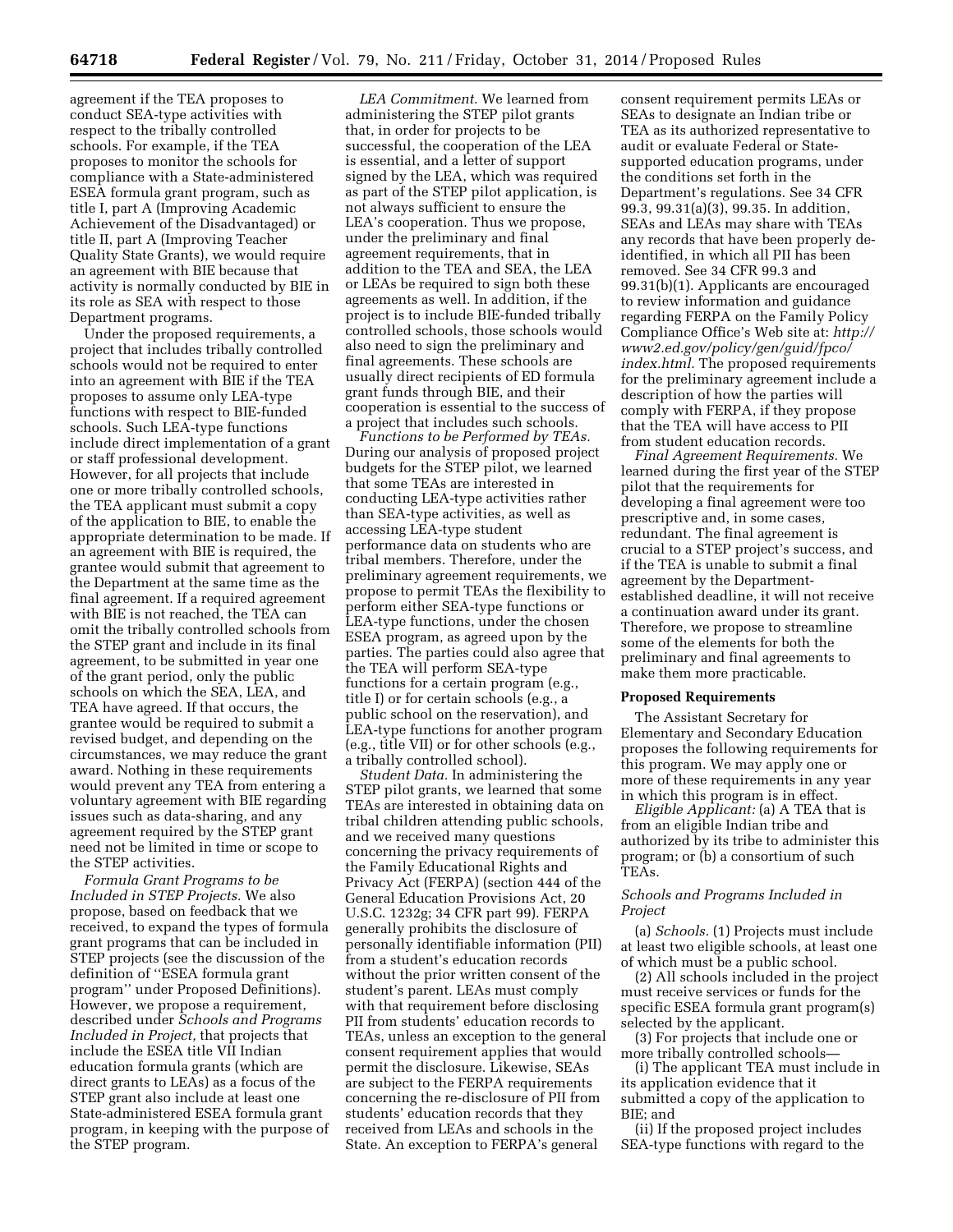agreement if the TEA proposes to conduct SEA-type activities with respect to the tribally controlled schools. For example, if the TEA proposes to monitor the schools for compliance with a State-administered ESEA formula grant program, such as title I, part A (Improving Academic Achievement of the Disadvantaged) or title II, part A (Improving Teacher Quality State Grants), we would require an agreement with BIE because that activity is normally conducted by BIE in its role as SEA with respect to those Department programs.

Under the proposed requirements, a project that includes tribally controlled schools would not be required to enter into an agreement with BIE if the TEA proposes to assume only LEA-type functions with respect to BIE-funded schools. Such LEA-type functions include direct implementation of a grant or staff professional development. However, for all projects that include one or more tribally controlled schools, the TEA applicant must submit a copy of the application to BIE, to enable the appropriate determination to be made. If an agreement with BIE is required, the grantee would submit that agreement to the Department at the same time as the final agreement. If a required agreement with BIE is not reached, the TEA can omit the tribally controlled schools from the STEP grant and include in its final agreement, to be submitted in year one of the grant period, only the public schools on which the SEA, LEA, and TEA have agreed. If that occurs, the grantee would be required to submit a revised budget, and depending on the circumstances, we may reduce the grant award. Nothing in these requirements would prevent any TEA from entering a voluntary agreement with BIE regarding issues such as data-sharing, and any agreement required by the STEP grant need not be limited in time or scope to the STEP activities.

*Formula Grant Programs to be Included in STEP Projects.* We also propose, based on feedback that we received, to expand the types of formula grant programs that can be included in STEP projects (see the discussion of the definition of ''ESEA formula grant program'' under Proposed Definitions). However, we propose a requirement, described under *Schools and Programs Included in Project,* that projects that include the ESEA title VII Indian education formula grants (which are direct grants to LEAs) as a focus of the STEP grant also include at least one State-administered ESEA formula grant program, in keeping with the purpose of the STEP program.

*LEA Commitment.* We learned from administering the STEP pilot grants that, in order for projects to be successful, the cooperation of the LEA is essential, and a letter of support signed by the LEA, which was required as part of the STEP pilot application, is not always sufficient to ensure the LEA's cooperation. Thus we propose, under the preliminary and final agreement requirements, that in addition to the TEA and SEA, the LEA or LEAs be required to sign both these agreements as well. In addition, if the project is to include BIE-funded tribally controlled schools, those schools would also need to sign the preliminary and final agreements. These schools are usually direct recipients of ED formula grant funds through BIE, and their cooperation is essential to the success of a project that includes such schools.

*Functions to be Performed by TEAs.*  During our analysis of proposed project budgets for the STEP pilot, we learned that some TEAs are interested in conducting LEA-type activities rather than SEA-type activities, as well as accessing LEA-type student performance data on students who are tribal members. Therefore, under the preliminary agreement requirements, we propose to permit TEAs the flexibility to perform either SEA-type functions or LEA-type functions, under the chosen ESEA program, as agreed upon by the parties. The parties could also agree that the TEA will perform SEA-type functions for a certain program (e.g., title I) or for certain schools (e.g., a public school on the reservation), and LEA-type functions for another program (e.g., title VII) or for other schools (e.g., a tribally controlled school).

*Student Data.* In administering the STEP pilot grants, we learned that some TEAs are interested in obtaining data on tribal children attending public schools, and we received many questions concerning the privacy requirements of the Family Educational Rights and Privacy Act (FERPA) (section 444 of the General Education Provisions Act, 20 U.S.C. 1232g; 34 CFR part 99). FERPA generally prohibits the disclosure of personally identifiable information (PII) from a student's education records without the prior written consent of the student's parent. LEAs must comply with that requirement before disclosing PII from students' education records to TEAs, unless an exception to the general consent requirement applies that would permit the disclosure. Likewise, SEAs are subject to the FERPA requirements concerning the re-disclosure of PII from students' education records that they received from LEAs and schools in the State. An exception to FERPA's general

consent requirement permits LEAs or SEAs to designate an Indian tribe or TEA as its authorized representative to audit or evaluate Federal or Statesupported education programs, under the conditions set forth in the Department's regulations. See 34 CFR 99.3, 99.31(a)(3), 99.35. In addition, SEAs and LEAs may share with TEAs any records that have been properly deidentified, in which all PII has been removed. See 34 CFR 99.3 and 99.31(b)(1). Applicants are encouraged to review information and guidance regarding FERPA on the Family Policy Compliance Office's Web site at: *[http://](http://www2.ed.gov/policy/gen/guid/fpco/index.html)  [www2.ed.gov/policy/gen/guid/fpco/](http://www2.ed.gov/policy/gen/guid/fpco/index.html) [index.html.](http://www2.ed.gov/policy/gen/guid/fpco/index.html)* The proposed requirements for the preliminary agreement include a description of how the parties will comply with FERPA, if they propose that the TEA will have access to PII from student education records.

*Final Agreement Requirements.* We learned during the first year of the STEP pilot that the requirements for developing a final agreement were too prescriptive and, in some cases, redundant. The final agreement is crucial to a STEP project's success, and if the TEA is unable to submit a final agreement by the Departmentestablished deadline, it will not receive a continuation award under its grant. Therefore, we propose to streamline some of the elements for both the preliminary and final agreements to make them more practicable.

#### **Proposed Requirements**

The Assistant Secretary for Elementary and Secondary Education proposes the following requirements for this program. We may apply one or more of these requirements in any year in which this program is in effect.

*Eligible Applicant:* (a) A TEA that is from an eligible Indian tribe and authorized by its tribe to administer this program; or (b) a consortium of such TEAs.

# *Schools and Programs Included in Project*

(a) *Schools.* (1) Projects must include at least two eligible schools, at least one of which must be a public school.

(2) All schools included in the project must receive services or funds for the specific ESEA formula grant program(s) selected by the applicant.

(3) For projects that include one or more tribally controlled schools—

(i) The applicant TEA must include in its application evidence that it submitted a copy of the application to BIE; and

(ii) If the proposed project includes SEA-type functions with regard to the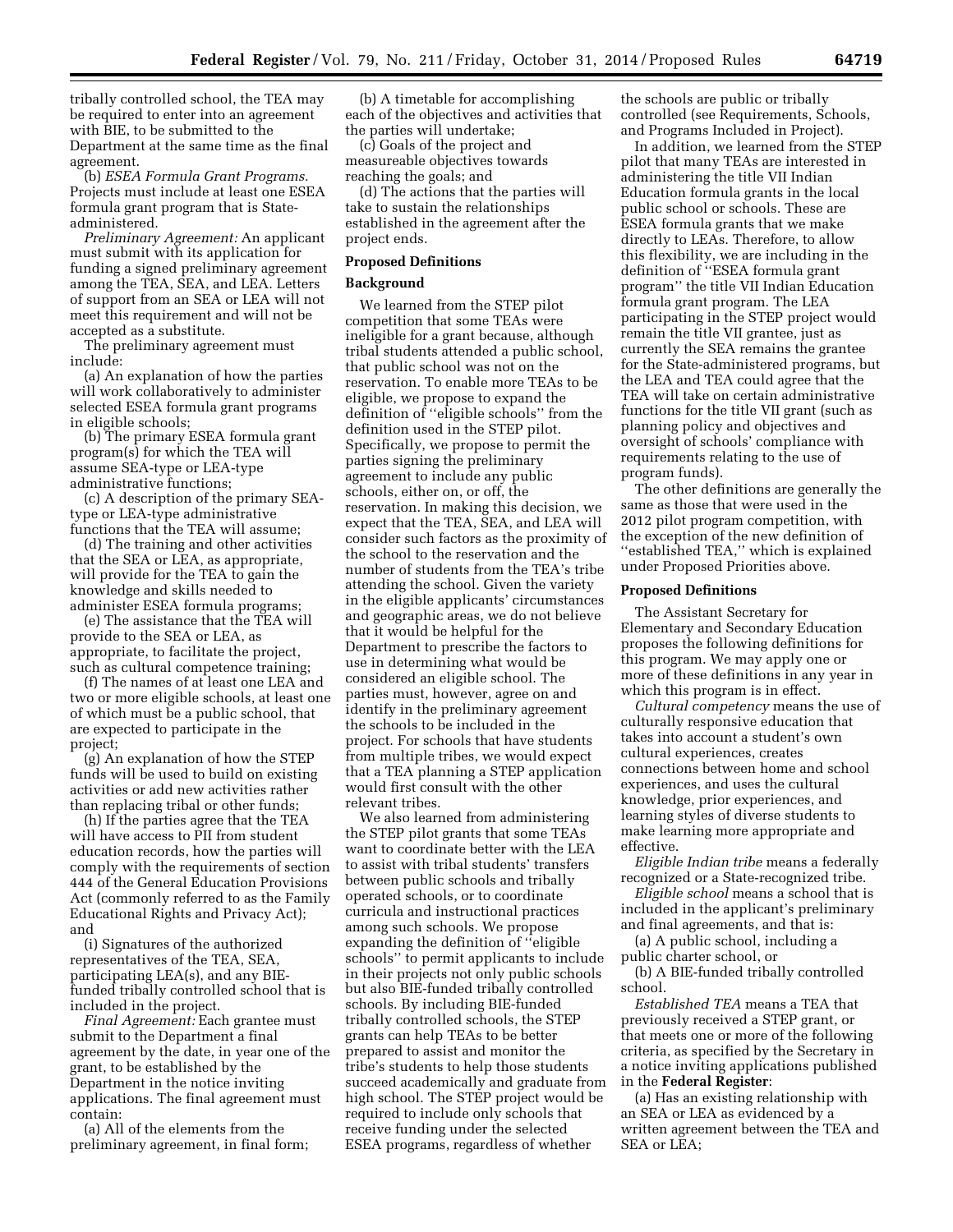tribally controlled school, the TEA may be required to enter into an agreement with BIE, to be submitted to the Department at the same time as the final agreement.

(b) *ESEA Formula Grant Programs.*  Projects must include at least one ESEA formula grant program that is Stateadministered.

*Preliminary Agreement:* An applicant must submit with its application for funding a signed preliminary agreement among the TEA, SEA, and LEA. Letters of support from an SEA or LEA will not meet this requirement and will not be accepted as a substitute.

The preliminary agreement must include:

(a) An explanation of how the parties will work collaboratively to administer selected ESEA formula grant programs in eligible schools;

(b) The primary ESEA formula grant program(s) for which the TEA will assume SEA-type or LEA-type administrative functions;

(c) A description of the primary SEAtype or LEA-type administrative functions that the TEA will assume;

(d) The training and other activities that the SEA or LEA, as appropriate, will provide for the TEA to gain the knowledge and skills needed to administer ESEA formula programs;

(e) The assistance that the TEA will provide to the SEA or LEA, as appropriate, to facilitate the project, such as cultural competence training;

(f) The names of at least one LEA and two or more eligible schools, at least one of which must be a public school, that are expected to participate in the project;

(g) An explanation of how the STEP funds will be used to build on existing activities or add new activities rather than replacing tribal or other funds;

(h) If the parties agree that the TEA will have access to PII from student education records, how the parties will comply with the requirements of section 444 of the General Education Provisions Act (commonly referred to as the Family Educational Rights and Privacy Act); and

(i) Signatures of the authorized representatives of the TEA, SEA, participating LEA(s), and any BIEfunded tribally controlled school that is included in the project.

*Final Agreement:* Each grantee must submit to the Department a final agreement by the date, in year one of the grant, to be established by the Department in the notice inviting applications. The final agreement must contain:

(a) All of the elements from the preliminary agreement, in final form;

(b) A timetable for accomplishing each of the objectives and activities that the parties will undertake;

(c) Goals of the project and measureable objectives towards reaching the goals; and

(d) The actions that the parties will take to sustain the relationships established in the agreement after the project ends.

### **Proposed Definitions**

### **Background**

We learned from the STEP pilot competition that some TEAs were ineligible for a grant because, although tribal students attended a public school, that public school was not on the reservation. To enable more TEAs to be eligible, we propose to expand the definition of ''eligible schools'' from the definition used in the STEP pilot. Specifically, we propose to permit the parties signing the preliminary agreement to include any public schools, either on, or off, the reservation. In making this decision, we expect that the TEA, SEA, and LEA will consider such factors as the proximity of the school to the reservation and the number of students from the TEA's tribe attending the school. Given the variety in the eligible applicants' circumstances and geographic areas, we do not believe that it would be helpful for the Department to prescribe the factors to use in determining what would be considered an eligible school. The parties must, however, agree on and identify in the preliminary agreement the schools to be included in the project. For schools that have students from multiple tribes, we would expect that a TEA planning a STEP application would first consult with the other relevant tribes.

We also learned from administering the STEP pilot grants that some TEAs want to coordinate better with the LEA to assist with tribal students' transfers between public schools and tribally operated schools, or to coordinate curricula and instructional practices among such schools. We propose expanding the definition of ''eligible schools'' to permit applicants to include in their projects not only public schools but also BIE-funded tribally controlled schools. By including BIE-funded tribally controlled schools, the STEP grants can help TEAs to be better prepared to assist and monitor the tribe's students to help those students succeed academically and graduate from high school. The STEP project would be required to include only schools that receive funding under the selected ESEA programs, regardless of whether

the schools are public or tribally controlled (see Requirements, Schools, and Programs Included in Project).

In addition, we learned from the STEP pilot that many TEAs are interested in administering the title VII Indian Education formula grants in the local public school or schools. These are ESEA formula grants that we make directly to LEAs. Therefore, to allow this flexibility, we are including in the definition of ''ESEA formula grant program'' the title VII Indian Education formula grant program. The LEA participating in the STEP project would remain the title VII grantee, just as currently the SEA remains the grantee for the State-administered programs, but the LEA and TEA could agree that the TEA will take on certain administrative functions for the title VII grant (such as planning policy and objectives and oversight of schools' compliance with requirements relating to the use of program funds).

The other definitions are generally the same as those that were used in the 2012 pilot program competition, with the exception of the new definition of ''established TEA,'' which is explained under Proposed Priorities above.

### **Proposed Definitions**

The Assistant Secretary for Elementary and Secondary Education proposes the following definitions for this program. We may apply one or more of these definitions in any year in which this program is in effect.

*Cultural competency* means the use of culturally responsive education that takes into account a student's own cultural experiences, creates connections between home and school experiences, and uses the cultural knowledge, prior experiences, and learning styles of diverse students to make learning more appropriate and effective.

*Eligible Indian tribe* means a federally recognized or a State-recognized tribe.

*Eligible school* means a school that is included in the applicant's preliminary and final agreements, and that is:

(a) A public school, including a public charter school, or

(b) A BIE-funded tribally controlled school.

*Established TEA* means a TEA that previously received a STEP grant, or that meets one or more of the following criteria, as specified by the Secretary in a notice inviting applications published in the **Federal Register**:

(a) Has an existing relationship with an SEA or LEA as evidenced by a written agreement between the TEA and SEA or LEA;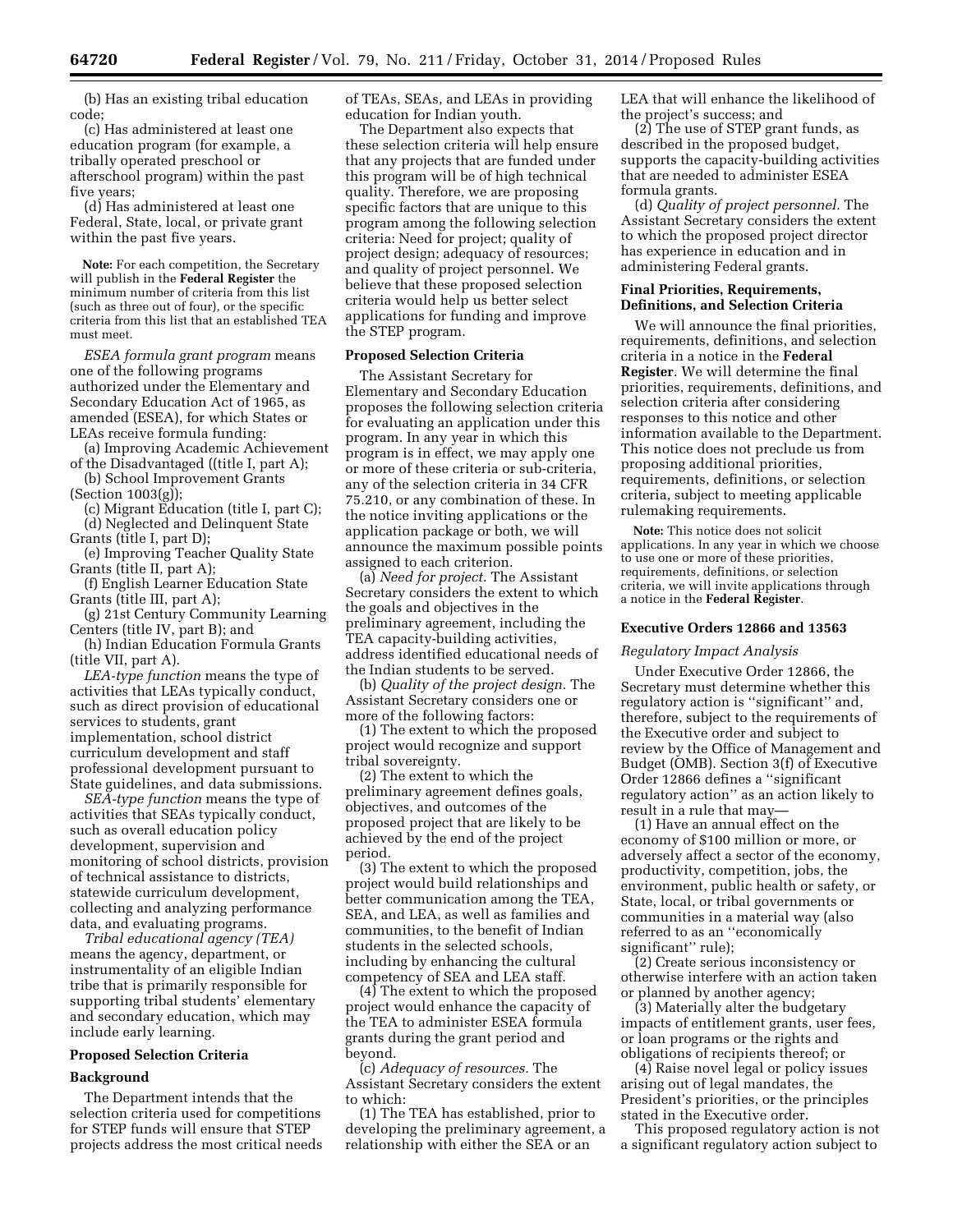(b) Has an existing tribal education code;

(c) Has administered at least one education program (for example, a tribally operated preschool or afterschool program) within the past five years;

(d) Has administered at least one Federal, State, local, or private grant within the past five years.

**Note:** For each competition, the Secretary will publish in the **Federal Register** the minimum number of criteria from this list (such as three out of four), or the specific criteria from this list that an established TEA must meet.

*ESEA formula grant program* means one of the following programs authorized under the Elementary and Secondary Education Act of 1965, as amended (ESEA), for which States or LEAs receive formula funding:

(a) Improving Academic Achievement of the Disadvantaged ((title I, part A);

(b) School Improvement Grants (Section 1003(g));

(c) Migrant Education (title I, part C); (d) Neglected and Delinquent State Grants (title I, part D);

(e) Improving Teacher Quality State Grants (title II, part A);

(f) English Learner Education State Grants (title III, part A);

(g) 21st Century Community Learning Centers (title IV, part B); and

(h) Indian Education Formula Grants (title VII, part A).

*LEA-type function* means the type of activities that LEAs typically conduct, such as direct provision of educational services to students, grant implementation, school district curriculum development and staff professional development pursuant to State guidelines, and data submissions.

*SEA-type function* means the type of activities that SEAs typically conduct, such as overall education policy development, supervision and monitoring of school districts, provision of technical assistance to districts, statewide curriculum development, collecting and analyzing performance data, and evaluating programs.

*Tribal educational agency (TEA)*  means the agency, department, or instrumentality of an eligible Indian tribe that is primarily responsible for supporting tribal students' elementary and secondary education, which may include early learning.

# **Proposed Selection Criteria**

# **Background**

The Department intends that the selection criteria used for competitions for STEP funds will ensure that STEP projects address the most critical needs of TEAs, SEAs, and LEAs in providing education for Indian youth.

The Department also expects that these selection criteria will help ensure that any projects that are funded under this program will be of high technical quality. Therefore, we are proposing specific factors that are unique to this program among the following selection criteria: Need for project; quality of project design; adequacy of resources; and quality of project personnel. We believe that these proposed selection criteria would help us better select applications for funding and improve the STEP program.

#### **Proposed Selection Criteria**

The Assistant Secretary for Elementary and Secondary Education proposes the following selection criteria for evaluating an application under this program. In any year in which this program is in effect, we may apply one or more of these criteria or sub-criteria, any of the selection criteria in 34 CFR 75.210, or any combination of these. In the notice inviting applications or the application package or both, we will announce the maximum possible points assigned to each criterion.

(a) *Need for project.* The Assistant Secretary considers the extent to which the goals and objectives in the preliminary agreement, including the TEA capacity-building activities, address identified educational needs of the Indian students to be served.

(b) *Quality of the project design.* The Assistant Secretary considers one or more of the following factors:

(1) The extent to which the proposed project would recognize and support tribal sovereignty.

(2) The extent to which the preliminary agreement defines goals, objectives, and outcomes of the proposed project that are likely to be achieved by the end of the project period.

(3) The extent to which the proposed project would build relationships and better communication among the TEA, SEA, and LEA, as well as families and communities, to the benefit of Indian students in the selected schools, including by enhancing the cultural competency of SEA and LEA staff.

(4) The extent to which the proposed project would enhance the capacity of the TEA to administer ESEA formula grants during the grant period and beyond.

(c) *Adequacy of resources.* The Assistant Secretary considers the extent to which:

(1) The TEA has established, prior to developing the preliminary agreement, a relationship with either the SEA or an

LEA that will enhance the likelihood of the project's success; and

(2) The use of STEP grant funds, as described in the proposed budget, supports the capacity-building activities that are needed to administer ESEA formula grants.

(d) *Quality of project personnel.* The Assistant Secretary considers the extent to which the proposed project director has experience in education and in administering Federal grants.

### **Final Priorities, Requirements, Definitions, and Selection Criteria**

We will announce the final priorities, requirements, definitions, and selection criteria in a notice in the **Federal Register**. We will determine the final priorities, requirements, definitions, and selection criteria after considering responses to this notice and other information available to the Department. This notice does not preclude us from proposing additional priorities, requirements, definitions, or selection criteria, subject to meeting applicable rulemaking requirements.

**Note:** This notice does not solicit applications. In any year in which we choose to use one or more of these priorities, requirements, definitions, or selection criteria, we will invite applications through a notice in the **Federal Register**.

#### **Executive Orders 12866 and 13563**

### *Regulatory Impact Analysis*

Under Executive Order 12866, the Secretary must determine whether this regulatory action is ''significant'' and, therefore, subject to the requirements of the Executive order and subject to review by the Office of Management and Budget (OMB). Section 3(f) of Executive Order 12866 defines a ''significant regulatory action'' as an action likely to result in a rule that may—

(1) Have an annual effect on the economy of \$100 million or more, or adversely affect a sector of the economy, productivity, competition, jobs, the environment, public health or safety, or State, local, or tribal governments or communities in a material way (also referred to as an ''economically significant'' rule);

(2) Create serious inconsistency or otherwise interfere with an action taken or planned by another agency;

(3) Materially alter the budgetary impacts of entitlement grants, user fees, or loan programs or the rights and obligations of recipients thereof; or

(4) Raise novel legal or policy issues arising out of legal mandates, the President's priorities, or the principles stated in the Executive order.

This proposed regulatory action is not a significant regulatory action subject to